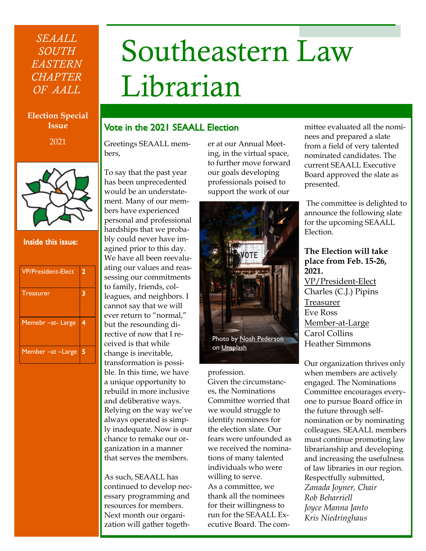# *SEAALL SOUTH EASTERN CHAPTER OF AALL*

# Southeastern Law Librarian

#### **Election Special Issue**

2021



#### Inside this issue:

| <b>VP/President-Elect</b> | 2 |
|---------------------------|---|
| <b>Treasurer</b>          | 3 |
| Memebr -at-Large          | 4 |
| Member - at - Large       | 5 |

# Vote in the 2021 SEAALL Election

Greetings SEAALL members,

To say that the past year has been unprecedented would be an understatement. Many of our members have experienced personal and professional hardships that we probably could never have imagined prior to this day. We have all been reevaluating our values and reassessing our commitments to family, friends, colleagues, and neighbors. I cannot say that we will ever return to "normal," but the resounding directive of now that I received is that while change is inevitable, transformation is possible. In this time, we have a unique opportunity to rebuild in more inclusive and deliberative ways. Relying on the way we've always operated is simply inadequate. Now is our chance to remake our organization in a manner that serves the members.

As such, SEAALL has continued to develop necessary programming and resources for members. Next month our organization will gather together at our Annual Meeting, in the virtual space, to further move forward our goals developing professionals poised to support the work of our



#### profession.

Given the circumstances, the Nominations Committee worried that we would struggle to identify nominees for the election slate. Our fears were unfounded as we received the nominations of many talented individuals who were willing to serve. As a committee, we thank all the nominees for their willingness to run for the SEAALL Executive Board. The com-

mittee evaluated all the nominees and prepared a slate from a field of very talented nominated candidates. The current SEAALL Executive Board approved the slate as presented.

The committee is delighted to announce the following slate for the upcoming SEAALL Election.

#### **The Election will take place from Feb. 15-26, 2021.**

VP/President-Elect Charles (C.J.) Pipins Treasurer Eve Ross Member-at-Large Carol Collins Heather Simmons

Our organization thrives only when members are actively engaged. The Nominations Committee encourages everyone to pursue Board office in the future through selfnomination or by nominating colleagues. SEAALL members must continue promoting law librarianship and developing and increasing the usefulness of law libraries in our region. Respectfully submitted, *Zanada Joyner, Chair Rob Beharriell Joyce Manna Janto Kris Niedringhaus*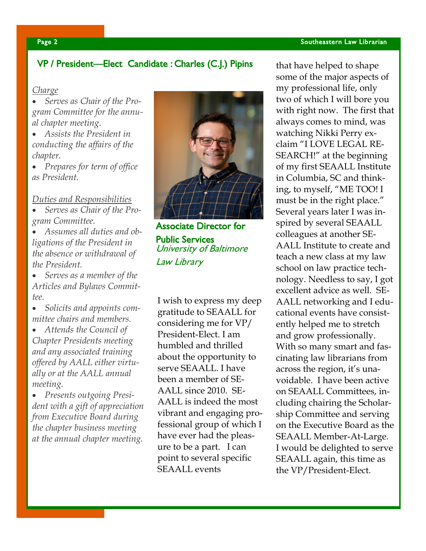# VP / President—Elect Candidate : Charles (C.J.) Pipins

#### *Charge*

• *Serves as Chair of the Program Committee for the annual chapter meeting.*

• *Assists the President in conducting the affairs of the chapter.*

• *Prepares for term of office as President.*

#### *Duties and Responsibilities*

• *Serves as Chair of the Program Committee.*

• *Assumes all duties and obligations of the President in the absence or withdrawal of the President.*

• *Serves as a member of the Articles and Bylaws Committee.*

• *Solicits and appoints committee chairs and members.*

• *Attends the Council of Chapter Presidents meeting and any associated training offered by AALL either virtually or at the AALL annual meeting.*

• *Presents outgoing President with a gift of appreciation from Executive Board during the chapter business meeting at the annual chapter meeting.*



Associate Director for Public Services University of Baltimore Law Library

I wish to express my deep gratitude to SEAALL for considering me for VP/ President-Elect. I am humbled and thrilled about the opportunity to serve SEAALL. I have been a member of SE-AALL since 2010. SE-AALL is indeed the most vibrant and engaging professional group of which I have ever had the pleasure to be a part. I can point to several specific SEAALL events

that have helped to shape some of the major aspects of my professional life, only two of which I will bore you with right now. The first that always comes to mind, was watching Nikki Perry exclaim "I LOVE LEGAL RE-SEARCH!" at the beginning of my first SEAALL Institute in Columbia, SC and thinking, to myself, "ME TOO! I must be in the right place." Several years later I was inspired by several SEAALL colleagues at another SE-AALL Institute to create and teach a new class at my law school on law practice technology. Needless to say, I got excellent advice as well. SE-AALL networking and I educational events have consistently helped me to stretch and grow professionally. With so many smart and fascinating law librarians from across the region, it's unavoidable. I have been active on SEAALL Committees, including chairing the Scholarship Committee and serving on the Executive Board as the SEAALL Member-At-Large. I would be delighted to serve SEAALL again, this time as the VP/President-Elect.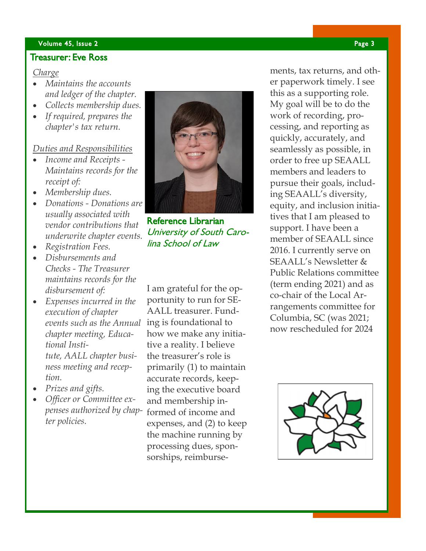#### volume 45, Issue 2 Page 3 Page 3 Page 3 Page 3 Page 3 Page 3 Page 3 Page 3 Page 3 Page 3 Page 3 Page 3 Page 3

#### Treasurer: Eve Ross

#### *Charge*

- *Maintains the accounts and ledger of the chapter.*
- *Collects membership dues.*
- *If required, prepares the chapter's tax return.*

#### *Duties and Responsibilities*

- *Income and Receipts - Maintains records for the receipt of:*
- *Membership dues.*
- *Donations - Donations are usually associated with vendor contributions that underwrite chapter events.*
- *Registration Fees.*
- *Disbursements and Checks - The Treasurer maintains records for the disbursement of:*
- *Expenses incurred in the execution of chapter events such as the Annual*  ing is foundational to *chapter meeting, Educational Institute, AALL chapter business meeting and reception.*
- *Prizes and gifts.*
- *Officer or Committee expenses authorized by chapter policies.*



Reference Librarian University of South Carolina School of Law

I am grateful for the opportunity to run for SE-AALL treasurer. Fundhow we make any initiative a reality. I believe the treasurer's role is primarily (1) to maintain accurate records, keeping the executive board and membership informed of income and expenses, and (2) to keep the machine running by processing dues, sponsorships, reimbursements, tax returns, and other paperwork timely. I see this as a supporting role. My goal will be to do the work of recording, processing, and reporting as quickly, accurately, and seamlessly as possible, in order to free up SEAALL members and leaders to pursue their goals, including SEAALL's diversity, equity, and inclusion initiatives that I am pleased to support. I have been a member of SEAALL since 2016. I currently serve on SEAALL's Newsletter & Public Relations committee (term ending 2021) and as co-chair of the Local Arrangements committee for Columbia, SC (was 2021; now rescheduled for 2024

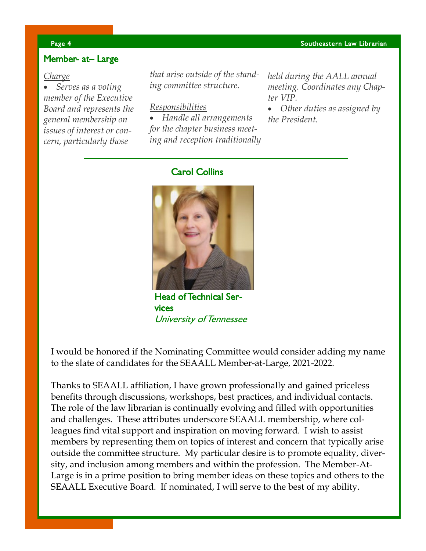## Member- at– Large

#### *Charge*

• *Serves as a voting member of the Executive Board and represents the general membership on issues of interest or concern, particularly those* 

*that arise outside of the standing committee structure.*

*Responsibilities*

• *Handle all arrangements for the chapter business meeting and reception traditionally*  *held during the AALL annual meeting. Coordinates any Chapter VIP.*

• *Other duties as assigned by the President.*

### Carol Collins



Head of Technical Services University of Tennessee

I would be honored if the Nominating Committee would consider adding my name to the slate of candidates for the SEAALL Member-at-Large, 2021-2022.

Thanks to SEAALL affiliation, I have grown professionally and gained priceless benefits through discussions, workshops, best practices, and individual contacts. The role of the law librarian is continually evolving and filled with opportunities and challenges. These attributes underscore SEAALL membership, where colleagues find vital support and inspiration on moving forward. I wish to assist members by representing them on topics of interest and concern that typically arise outside the committee structure. My particular desire is to promote equality, diversity, and inclusion among members and within the profession. The Member-At-Large is in a prime position to bring member ideas on these topics and others to the SEAALL Executive Board. If nominated, I will serve to the best of my ability.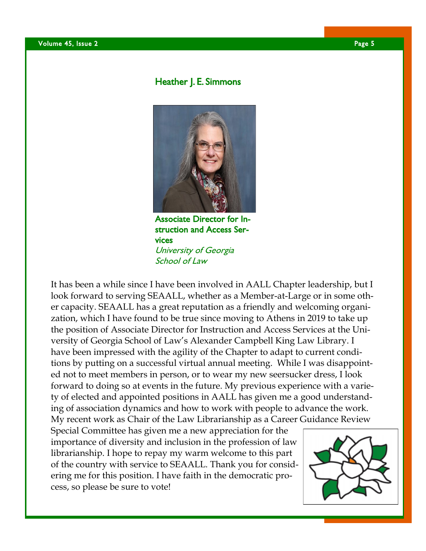## Heather J. E. Simmons



Associate Director for Instruction and Access Services University of Georgia School of Law

It has been a while since I have been involved in AALL Chapter leadership, but I look forward to serving SEAALL, whether as a Member-at-Large or in some other capacity. SEAALL has a great reputation as a friendly and welcoming organization, which I have found to be true since moving to Athens in 2019 to take up the position of Associate Director for Instruction and Access Services at the University of Georgia School of Law's Alexander Campbell King Law Library. I have been impressed with the agility of the Chapter to adapt to current conditions by putting on a successful virtual annual meeting. While I was disappointed not to meet members in person, or to wear my new seersucker dress, I look forward to doing so at events in the future. My previous experience with a variety of elected and appointed positions in AALL has given me a good understanding of association dynamics and how to work with people to advance the work. My recent work as Chair of the Law Librarianship as a Career Guidance Review

Special Committee has given me a new appreciation for the importance of diversity and inclusion in the profession of law librarianship. I hope to repay my warm welcome to this part of the country with service to SEAALL. Thank you for considering me for this position. I have faith in the democratic process, so please be sure to vote!